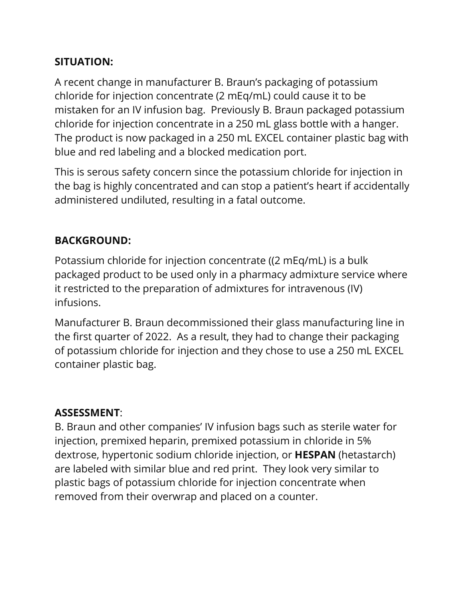## **SITUATION:**

A recent change in manufacturer B. Braun's packaging of potassium chloride for injection concentrate (2 mEq/mL) could cause it to be mistaken for an IV infusion bag. Previously B. Braun packaged potassium chloride for injection concentrate in a 250 mL glass bottle with a hanger. The product is now packaged in a 250 mL EXCEL container plastic bag with blue and red labeling and a blocked medication port.

This is serous safety concern since the potassium chloride for injection in the bag is highly concentrated and can stop a patient's heart if accidentally administered undiluted, resulting in a fatal outcome.

## **BACKGROUND:**

Potassium chloride for injection concentrate ((2 mEq/mL) is a bulk packaged product to be used only in a pharmacy admixture service where it restricted to the preparation of admixtures for intravenous (IV) infusions.

Manufacturer B. Braun decommissioned their glass manufacturing line in the first quarter of 2022. As a result, they had to change their packaging of potassium chloride for injection and they chose to use a 250 mL EXCEL container plastic bag.

## **ASSESSMENT**:

B. Braun and other companies' IV infusion bags such as sterile water for injection, premixed heparin, premixed potassium in chloride in 5% dextrose, hypertonic sodium chloride injection, or **HESPAN** (hetastarch) are labeled with similar blue and red print. They look very similar to plastic bags of potassium chloride for injection concentrate when removed from their overwrap and placed on a counter.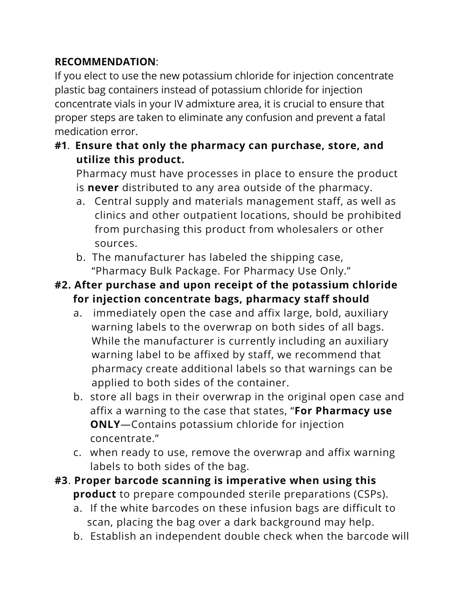## **RECOMMENDATION**:

If you elect to use the new potassium chloride for injection concentrate plastic bag containers instead of potassium chloride for injection concentrate vials in your IV admixture area, it is crucial to ensure that proper steps are taken to eliminate any confusion and prevent a fatal medication error.

**#1**. **Ensure that only the pharmacy can purchase, store, and utilize this product.**

Pharmacy must have processes in place to ensure the product is **never** distributed to any area outside of the pharmacy.

- a. Central supply and materials management staff, as well as clinics and other outpatient locations, should be prohibited from purchasing this product from wholesalers or other sources.
- b. The manufacturer has labeled the shipping case, "Pharmacy Bulk Package. For Pharmacy Use Only."
- **#2. After purchase and upon receipt of the potassium chloride for injection concentrate bags, pharmacy staff should** 
	- a. immediately open the case and affix large, bold, auxiliary warning labels to the overwrap on both sides of all bags. While the manufacturer is currently including an auxiliary warning label to be affixed by staff, we recommend that pharmacy create additional labels so that warnings can be applied to both sides of the container.
	- b. store all bags in their overwrap in the original open case and affix a warning to the case that states, "**For Pharmacy use ONLY**—Contains potassium chloride for injection concentrate."
	- c. when ready to use, remove the overwrap and affix warning labels to both sides of the bag.
- **#3**. **Proper barcode scanning is imperative when using this product** to prepare compounded sterile preparations (CSPs).
	- a. If the white barcodes on these infusion bags are difficult to scan, placing the bag over a dark background may help.
	- b. Establish an independent double check when the barcode will